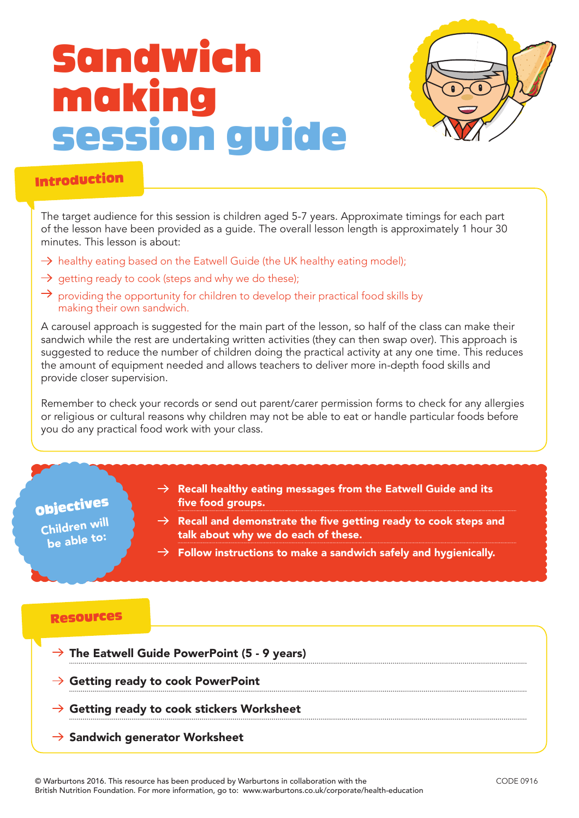# Sandwich making session guide



### Introduction

The target audience for this session is children aged 5-7 years. Approximate timings for each part of the lesson have been provided as a guide. The overall lesson length is approximately 1 hour 30 minutes. This lesson is about:

- $\rightarrow$  healthy eating based on the Eatwell Guide (the UK healthy eating model);
- $\rightarrow$  getting ready to cook (steps and why we do these);
- $\rightarrow$  providing the opportunity for children to develop their practical food skills by making their own sandwich.

A carousel approach is suggested for the main part of the lesson, so half of the class can make their sandwich while the rest are undertaking written activities (they can then swap over). This approach is suggested to reduce the number of children doing the practical activity at any one time. This reduces the amount of equipment needed and allows teachers to deliver more in-depth food skills and provide closer supervision.

Remember to check your records or send out parent/carer permission forms to check for any allergies or religious or cultural reasons why children may not be able to eat or handle particular foods before you do any practical food work with your class.

## Objectives

Children will be able to:

- $\rightarrow$  Recall healthy eating messages from the Eatwell Guide and its five food groups.
- $\rightarrow$  Recall and demonstrate the five getting ready to cook steps and talk about why we do each of these.
- $\rightarrow$  Follow instructions to make a sandwich safely and hygienically.

#### Resources

- $\rightarrow$  The Eatwell Guide PowerPoint (5 9 years)
- $\rightarrow$  Getting ready to cook PowerPoint
- $\rightarrow$  Getting ready to cook stickers Worksheet
- $\rightarrow$  Sandwich generator Worksheet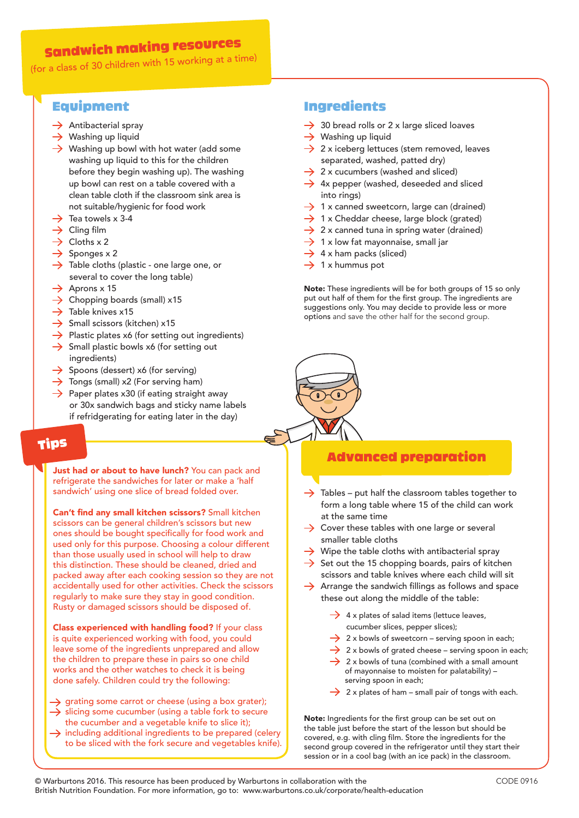## Sandwich making resources

(for a class of 30 children with 15 working at a time)

## Equipment

- $\rightarrow$  Antibacterial spray
- $\rightarrow$  Washing up liquid
- $\rightarrow$  Washing up bowl with hot water (add some washing up liquid to this for the children before they begin washing up). The washing up bowl can rest on a table covered with a clean table cloth if the classroom sink area is not suitable/hygienic for food work
- $\rightarrow$  Tea towels x 3-4
- $\rightarrow$  Cling film
- $\rightarrow$  Cloths x 2
- $\rightarrow$  Sponges x 2
- $\rightarrow$  Table cloths (plastic one large one, or several to cover the long table)
- $\rightarrow$  Aprons x 15
- $\rightarrow$  Chopping boards (small) x15
- $\rightarrow$  Table knives x15
- $\rightarrow$  Small scissors (kitchen) x15
- $\rightarrow$  Plastic plates x6 (for setting out ingredients)
- $\rightarrow$  Small plastic bowls x6 (for setting out ingredients)
- $\rightarrow$  Spoons (dessert) x6 (for serving)
- $\rightarrow$  Tongs (small) x2 (For serving ham)
- $\rightarrow$  Paper plates x30 (if eating straight away or 30x sandwich bags and sticky name labels if refridgerating for eating later in the day)

## Tips

Just had or about to have lunch? You can pack and refrigerate the sandwiches for later or make a 'half sandwich' using one slice of bread folded over.

Can't find any small kitchen scissors? Small kitchen scissors can be general children's scissors but new ones should be bought specifically for food work and used only for this purpose. Choosing a colour different than those usually used in school will help to draw this distinction. These should be cleaned, dried and packed away after each cooking session so they are not accidentally used for other activities. Check the scissors regularly to make sure they stay in good condition. Rusty or damaged scissors should be disposed of.

Class experienced with handling food? If your class is quite experienced working with food, you could leave some of the ingredients unprepared and allow the children to prepare these in pairs so one child works and the other watches to check it is being done safely. Children could try the following:

- $\rightarrow$  grating some carrot or cheese (using a box grater);  $\rightarrow$  slicing some cucumber (using a table fork to secure the cucumber and a vegetable knife to slice it);
- $\rightarrow$  including additional ingredients to be prepared (celery to be sliced with the fork secure and vegetables knife).

### Ingredients

- $\rightarrow$  30 bread rolls or 2 x large sliced loaves
- $\rightarrow$  Washing up liquid
- $\rightarrow$  2 x iceberg lettuces (stem removed, leaves separated, washed, patted dry)
- $\rightarrow$  2 x cucumbers (washed and sliced)
- $\rightarrow$  4x pepper (washed, deseeded and sliced into rings)
- $\rightarrow$  1 x canned sweetcorn, large can (drained)
- $\rightarrow$  1 x Cheddar cheese, large block (grated)
- $\rightarrow$  2 x canned tuna in spring water (drained)
- $\rightarrow$  1 x low fat mayonnaise, small jar
- $\rightarrow$  4 x ham packs (sliced)
- $\rightarrow$  1 x hummus pot

Note: These ingredients will be for both groups of 15 so only put out half of them for the first group. The ingredients are suggestions only. You may decide to provide less or more options and save the other half for the second group.



### Advanced preparation

- $\rightarrow$  Tables put half the classroom tables together to form a long table where 15 of the child can work at the same time
- $\rightarrow$  Cover these tables with one large or several smaller table cloths
- $\rightarrow$  Wipe the table cloths with antibacterial spray
- $\rightarrow$  Set out the 15 chopping boards, pairs of kitchen scissors and table knives where each child will sit
- $\rightarrow$  Arrange the sandwich fillings as follows and space these out along the middle of the table:
	- $\rightarrow$  4 x plates of salad items (lettuce leaves, cucumber slices, pepper slices);
	- $\rightarrow$  2 x bowls of sweetcorn serving spoon in each:
	- $\rightarrow$  2 x bowls of grated cheese serving spoon in each;
	- $\rightarrow$  2 x bowls of tuna (combined with a small amount of mayonnaise to moisten for palatability) – serving spoon in each;
	- $\rightarrow$  2 x plates of ham small pair of tongs with each.

Note: Ingredients for the first group can be set out on the table just before the start of the lesson but should be covered, e.g. with cling film. Store the ingredients for the second group covered in the refrigerator until they start their session or in a cool bag (with an ice pack) in the classroom.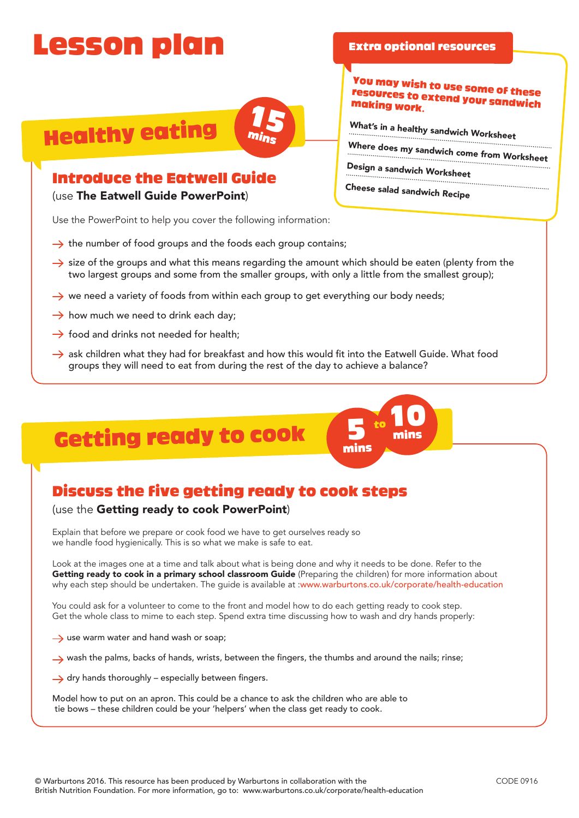## Lesson plan

**Healthy eating** 



## Introduce the Eatwell Guide

(use The Eatwell Guide PowerPoint)

Use the PowerPoint to help you cover the following information:

- $\rightarrow$  the number of food groups and the foods each group contains;
- $\rightarrow$  size of the groups and what this means regarding the amount which should be eaten (plenty from the two largest groups and some from the smaller groups, with only a little from the smallest group);
- $\rightarrow$  we need a variety of foods from within each group to get everything our body needs;
- $\rightarrow$  how much we need to drink each day;
- $\rightarrow$  food and drinks not needed for health;
- $\rightarrow$  ask children what they had for breakfast and how this would fit into the Eatwell Guide. What food groups they will need to eat from during the rest of the day to achieve a balance?

## Getting ready to cook

## Discuss the five getting ready to cook steps

#### (use the Getting ready to cook PowerPoint)

Explain that before we prepare or cook food we have to get ourselves ready so we handle food hygienically. This is so what we make is safe to eat.

Look at the images one at a time and talk about what is being done and why it needs to be done. Refer to the Getting ready to cook in a primary school classroom Guide (Preparing the children) for more information about why each step should be undertaken. The guide is available at :www.warburtons.co.uk/corporate/health-education

You could ask for a volunteer to come to the front and model how to do each getting ready to cook step. Get the whole class to mime to each step. Spend extra time discussing how to wash and dry hands properly:

- $\rightarrow$  use warm water and hand wash or soap;
- wash the palms, backs of hands, wrists, between the fingers, the thumbs and around the nails; rinse;
- $\rightarrow$  dry hands thoroughly especially between fingers.

Model how to put on an apron. This could be a chance to ask the children who are able to tie bows – these children could be your 'helpers' when the class get ready to cook.

mins

to

### You may wish to use some of these resources to extend your sandwich making work.

What's in a healthy sandwich Worksheet

Extra optional resources

Where does my sandwich come from Worksheet

Design a sandwich Worksheet

Cheese salad sandwich Recipe

10 mins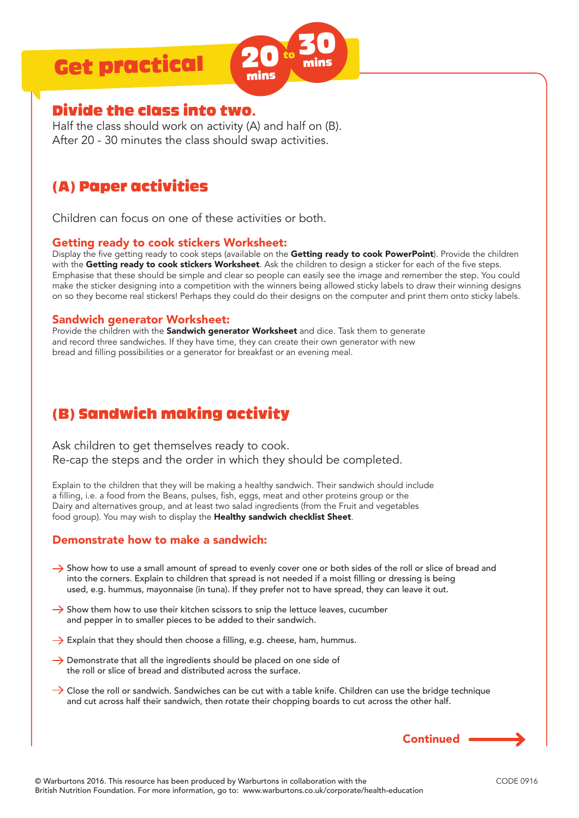## Get practical



## Divide the class into two.

Half the class should work on activity (A) and half on (B). After 20 - 30 minutes the class should swap activities.

## (A) Paper activities

Children can focus on one of these activities or both.

#### Getting ready to cook stickers Worksheet:

Display the five getting ready to cook steps (available on the Getting ready to cook PowerPoint). Provide the children with the Getting ready to cook stickers Worksheet. Ask the children to design a sticker for each of the five steps. Emphasise that these should be simple and clear so people can easily see the image and remember the step. You could make the sticker designing into a competition with the winners being allowed sticky labels to draw their winning designs on so they become real stickers! Perhaps they could do their designs on the computer and print them onto sticky labels.

#### Sandwich generator Worksheet:

Provide the children with the **Sandwich generator Worksheet** and dice. Task them to generate and record three sandwiches. If they have time, they can create their own generator with new bread and filling possibilities or a generator for breakfast or an evening meal.

## (B) Sandwich making activity

Ask children to get themselves ready to cook. Re-cap the steps and the order in which they should be completed.

Explain to the children that they will be making a healthy sandwich. Their sandwich should include a filling, i.e. a food from the Beans, pulses, fish, eggs, meat and other proteins group or the Dairy and alternatives group, and at least two salad ingredients (from the Fruit and vegetables food group). You may wish to display the Healthy sandwich checklist Sheet.

### Demonstrate how to make a sandwich:

- Show how to use a small amount of spread to evenly cover one or both sides of the roll or slice of bread and into the corners. Explain to children that spread is not needed if a moist filling or dressing is being used, e.g. hummus, mayonnaise (in tuna). If they prefer not to have spread, they can leave it out.
- $\rightarrow$  Show them how to use their kitchen scissors to snip the lettuce leaves, cucumber and pepper in to smaller pieces to be added to their sandwich.
- $\rightarrow$  Explain that they should then choose a filling, e.g. cheese, ham, hummus.
- $\rightarrow$  Demonstrate that all the ingredients should be placed on one side of the roll or slice of bread and distributed across the surface.
- $\rightarrow$  Close the roll or sandwich. Sandwiches can be cut with a table knife. Children can use the bridge technique and cut across half their sandwich, then rotate their chopping boards to cut across the other half.